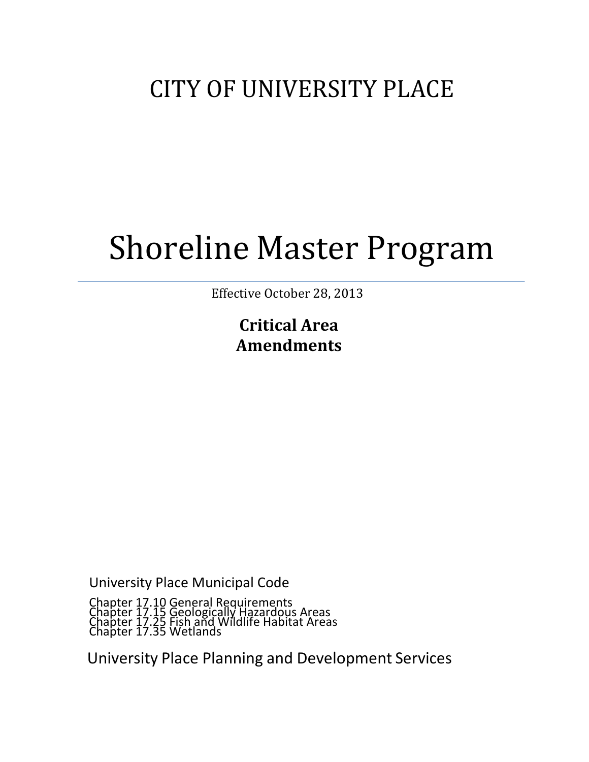## CITY OF UNIVERSITY PLACE

# Shoreline Master Program

Effective October 28, 2013

**Critical Area Amendments**

University Place Municipal Code

Chapter 17.10 General Requirements Chapter 17.15 Geologically Hazardous Areas Chapter 17.25 Fish and Wildlife Habitat Areas Chapter 17.35 Wetlands

University Place Planning and Development Services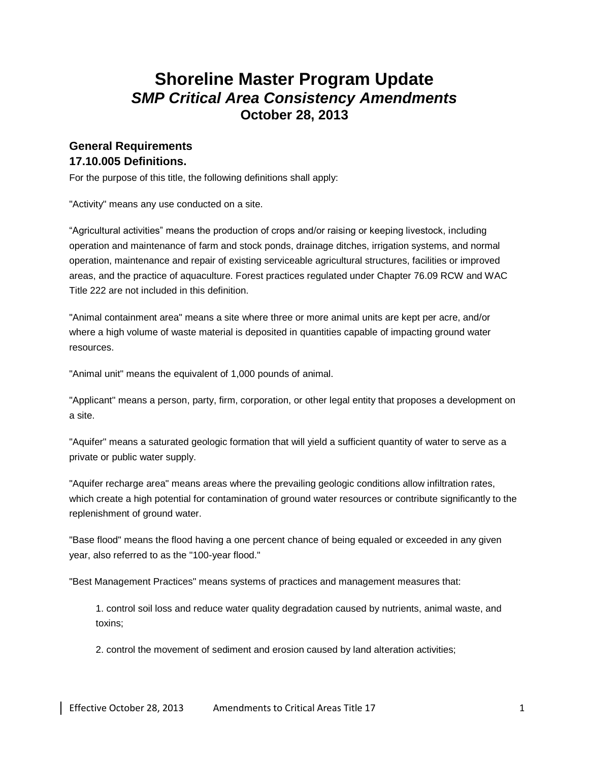## **Shoreline Master Program Update**  *SMP Critical Area Consistency Amendments* **October 28, 2013**

## **General Requirements 17.10.005 Definitions.**

For the purpose of this title, the following definitions shall apply:

"Activity" means any use conducted on a site.

"Agricultural activities" means the production of crops and/or raising or keeping livestock, including operation and maintenance of farm and stock ponds, drainage ditches, irrigation systems, and normal operation, maintenance and repair of existing serviceable agricultural structures, facilities or improved areas, and the practice of aquaculture. Forest practices regulated under Chapter 76.09 RCW and WAC Title 222 are not included in this definition.

"Animal containment area" means a site where three or more animal units are kept per acre, and/or where a high volume of waste material is deposited in quantities capable of impacting ground water resources.

"Animal unit" means the equivalent of 1,000 pounds of animal.

"Applicant" means a person, party, firm, corporation, or other legal entity that proposes a development on a site.

"Aquifer" means a saturated geologic formation that will yield a sufficient quantity of water to serve as a private or public water supply.

"Aquifer recharge area" means areas where the prevailing geologic conditions allow infiltration rates, which create a high potential for contamination of ground water resources or contribute significantly to the replenishment of ground water.

"Base flood" means the flood having a one percent chance of being equaled or exceeded in any given year, also referred to as the "100-year flood."

"Best Management Practices" means systems of practices and management measures that:

1. control soil loss and reduce water quality degradation caused by nutrients, animal waste, and toxins;

2. control the movement of sediment and erosion caused by land alteration activities;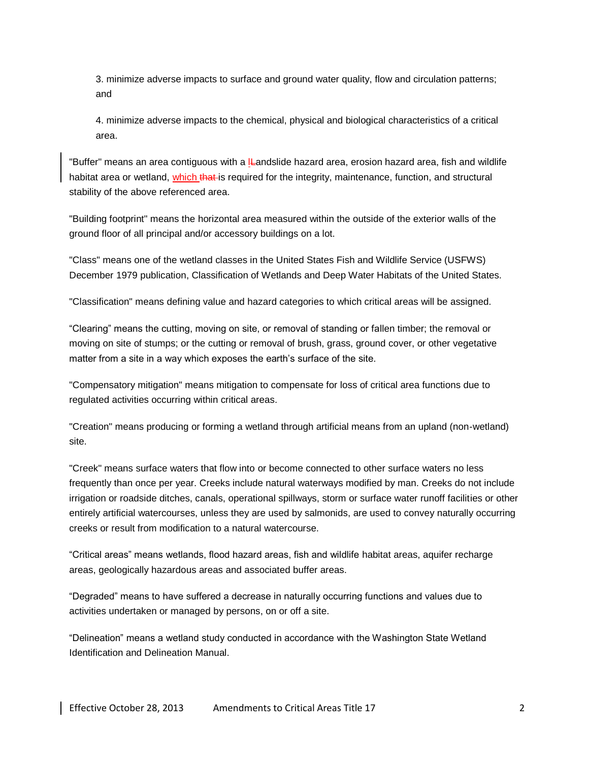3. minimize adverse impacts to surface and ground water quality, flow and circulation patterns; and

4. minimize adverse impacts to the chemical, physical and biological characteristics of a critical area.

"Buffer" means an area contiguous with a lleandslide hazard area, erosion hazard area, fish and wildlife habitat area or wetland, which that is required for the integrity, maintenance, function, and structural stability of the above referenced area.

"Building footprint" means the horizontal area measured within the outside of the exterior walls of the ground floor of all principal and/or accessory buildings on a lot.

"Class" means one of the wetland classes in the United States Fish and Wildlife Service (USFWS) December 1979 publication, Classification of Wetlands and Deep Water Habitats of the United States.

"Classification" means defining value and hazard categories to which critical areas will be assigned.

"Clearing" means the cutting, moving on site, or removal of standing or fallen timber; the removal or moving on site of stumps; or the cutting or removal of brush, grass, ground cover, or other vegetative matter from a site in a way which exposes the earth's surface of the site.

"Compensatory mitigation" means mitigation to compensate for loss of critical area functions due to regulated activities occurring within critical areas.

"Creation" means producing or forming a wetland through artificial means from an upland (non-wetland) site.

"Creek" means surface waters that flow into or become connected to other surface waters no less frequently than once per year. Creeks include natural waterways modified by man. Creeks do not include irrigation or roadside ditches, canals, operational spillways, storm or surface water runoff facilities or other entirely artificial watercourses, unless they are used by salmonids, are used to convey naturally occurring creeks or result from modification to a natural watercourse.

"Critical areas" means wetlands, flood hazard areas, fish and wildlife habitat areas, aquifer recharge areas, geologically hazardous areas and associated buffer areas.

"Degraded" means to have suffered a decrease in naturally occurring functions and values due to activities undertaken or managed by persons, on or off a site.

"Delineation" means a wetland study conducted in accordance with the Washington State Wetland Identification and Delineation Manual.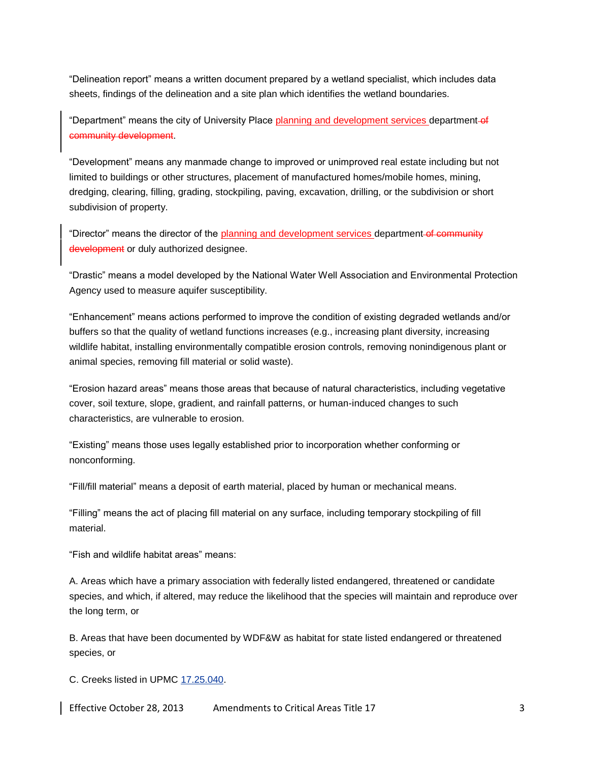"Delineation report" means a written document prepared by a wetland specialist, which includes data sheets, findings of the delineation and a site plan which identifies the wetland boundaries.

"Department" means the city of University Place planning and development services department-of community development.

"Development" means any manmade change to improved or unimproved real estate including but not limited to buildings or other structures, placement of manufactured homes/mobile homes, mining, dredging, clearing, filling, grading, stockpiling, paving, excavation, drilling, or the subdivision or short subdivision of property.

"Director" means the director of the planning and development services department-of community development or duly authorized designee.

"Drastic" means a model developed by the National Water Well Association and Environmental Protection Agency used to measure aquifer susceptibility.

"Enhancement" means actions performed to improve the condition of existing degraded wetlands and/or buffers so that the quality of wetland functions increases (e.g., increasing plant diversity, increasing wildlife habitat, installing environmentally compatible erosion controls, removing nonindigenous plant or animal species, removing fill material or solid waste).

"Erosion hazard areas" means those areas that because of natural characteristics, including vegetative cover, soil texture, slope, gradient, and rainfall patterns, or human-induced changes to such characteristics, are vulnerable to erosion.

"Existing" means those uses legally established prior to incorporation whether conforming or nonconforming.

"Fill/fill material" means a deposit of earth material, placed by human or mechanical means.

"Filling" means the act of placing fill material on any surface, including temporary stockpiling of fill material.

"Fish and wildlife habitat areas" means:

A. Areas which have a primary association with federally listed endangered, threatened or candidate species, and which, if altered, may reduce the likelihood that the species will maintain and reproduce over the long term, or

B. Areas that have been documented by WDF&W as habitat for state listed endangered or threatened species, or

C. Creeks listed in UPMC [17.25.040.](http://www.mrsc.org/mc/universityplace/UniversityPlace17/UniversityPlace1725.html#17.25.040)

Effective October 28, 2013 Amendments to Critical Areas Title 17 3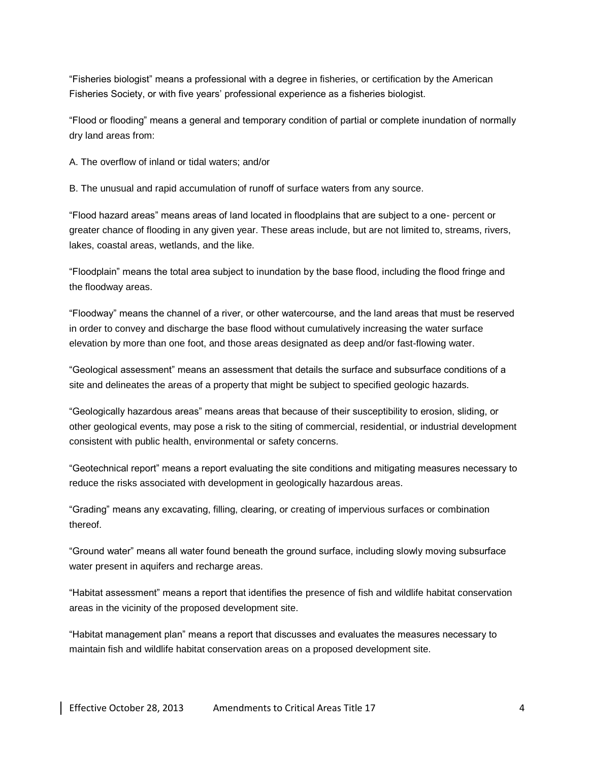"Fisheries biologist" means a professional with a degree in fisheries, or certification by the American Fisheries Society, or with five years' professional experience as a fisheries biologist.

"Flood or flooding" means a general and temporary condition of partial or complete inundation of normally dry land areas from:

A. The overflow of inland or tidal waters; and/or

B. The unusual and rapid accumulation of runoff of surface waters from any source.

"Flood hazard areas" means areas of land located in floodplains that are subject to a one- percent or greater chance of flooding in any given year. These areas include, but are not limited to, streams, rivers, lakes, coastal areas, wetlands, and the like.

"Floodplain" means the total area subject to inundation by the base flood, including the flood fringe and the floodway areas.

"Floodway" means the channel of a river, or other watercourse, and the land areas that must be reserved in order to convey and discharge the base flood without cumulatively increasing the water surface elevation by more than one foot, and those areas designated as deep and/or fast-flowing water.

"Geological assessment" means an assessment that details the surface and subsurface conditions of a site and delineates the areas of a property that might be subject to specified geologic hazards.

"Geologically hazardous areas" means areas that because of their susceptibility to erosion, sliding, or other geological events, may pose a risk to the siting of commercial, residential, or industrial development consistent with public health, environmental or safety concerns.

"Geotechnical report" means a report evaluating the site conditions and mitigating measures necessary to reduce the risks associated with development in geologically hazardous areas.

"Grading" means any excavating, filling, clearing, or creating of impervious surfaces or combination thereof.

"Ground water" means all water found beneath the ground surface, including slowly moving subsurface water present in aquifers and recharge areas.

"Habitat assessment" means a report that identifies the presence of fish and wildlife habitat conservation areas in the vicinity of the proposed development site.

"Habitat management plan" means a report that discusses and evaluates the measures necessary to maintain fish and wildlife habitat conservation areas on a proposed development site.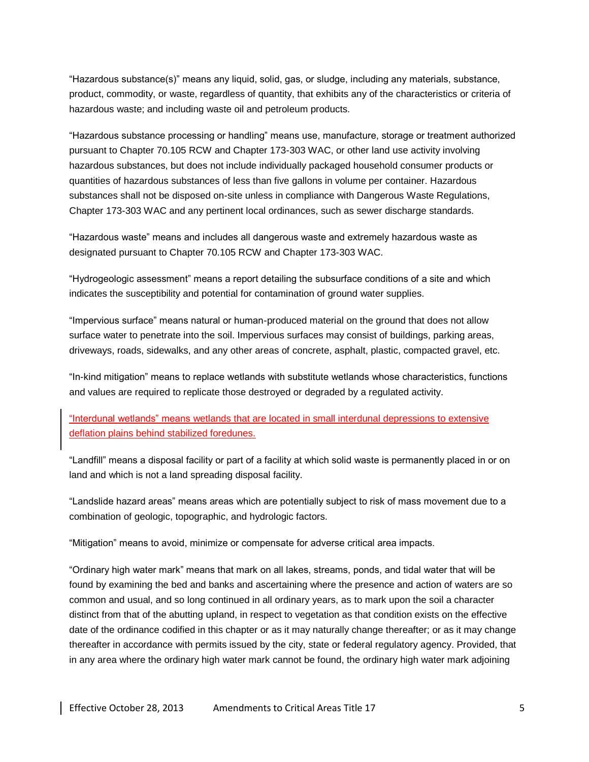"Hazardous substance(s)" means any liquid, solid, gas, or sludge, including any materials, substance, product, commodity, or waste, regardless of quantity, that exhibits any of the characteristics or criteria of hazardous waste; and including waste oil and petroleum products.

"Hazardous substance processing or handling" means use, manufacture, storage or treatment authorized pursuant to Chapter 70.105 RCW and Chapter 173-303 WAC, or other land use activity involving hazardous substances, but does not include individually packaged household consumer products or quantities of hazardous substances of less than five gallons in volume per container. Hazardous substances shall not be disposed on-site unless in compliance with Dangerous Waste Regulations, Chapter 173-303 WAC and any pertinent local ordinances, such as sewer discharge standards.

"Hazardous waste" means and includes all dangerous waste and extremely hazardous waste as designated pursuant to Chapter 70.105 RCW and Chapter 173-303 WAC.

"Hydrogeologic assessment" means a report detailing the subsurface conditions of a site and which indicates the susceptibility and potential for contamination of ground water supplies.

"Impervious surface" means natural or human-produced material on the ground that does not allow surface water to penetrate into the soil. Impervious surfaces may consist of buildings, parking areas, driveways, roads, sidewalks, and any other areas of concrete, asphalt, plastic, compacted gravel, etc.

"In-kind mitigation" means to replace wetlands with substitute wetlands whose characteristics, functions and values are required to replicate those destroyed or degraded by a regulated activity.

"Interdunal wetlands" means wetlands that are located in small interdunal depressions to extensive deflation plains behind stabilized foredunes.

"Landfill" means a disposal facility or part of a facility at which solid waste is permanently placed in or on land and which is not a land spreading disposal facility.

"Landslide hazard areas" means areas which are potentially subject to risk of mass movement due to a combination of geologic, topographic, and hydrologic factors.

"Mitigation" means to avoid, minimize or compensate for adverse critical area impacts.

"Ordinary high water mark" means that mark on all lakes, streams, ponds, and tidal water that will be found by examining the bed and banks and ascertaining where the presence and action of waters are so common and usual, and so long continued in all ordinary years, as to mark upon the soil a character distinct from that of the abutting upland, in respect to vegetation as that condition exists on the effective date of the ordinance codified in this chapter or as it may naturally change thereafter; or as it may change thereafter in accordance with permits issued by the city, state or federal regulatory agency. Provided, that in any area where the ordinary high water mark cannot be found, the ordinary high water mark adjoining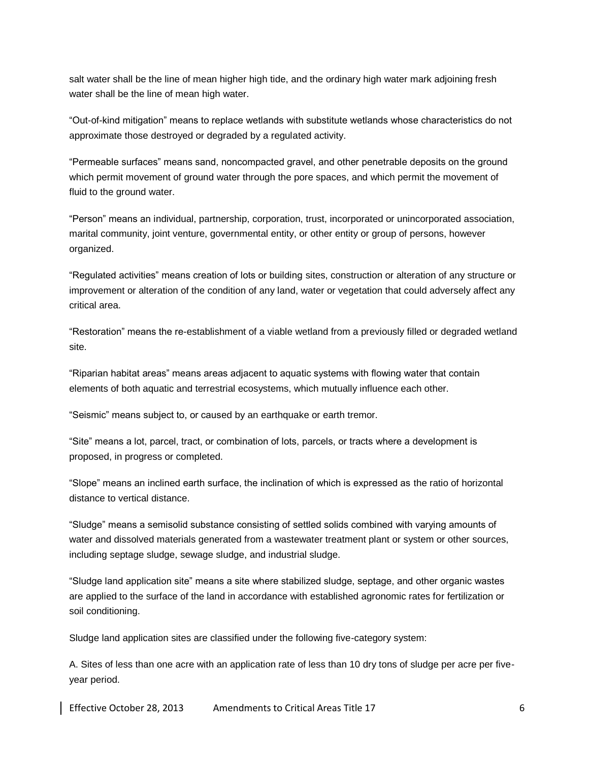salt water shall be the line of mean higher high tide, and the ordinary high water mark adjoining fresh water shall be the line of mean high water.

"Out-of-kind mitigation" means to replace wetlands with substitute wetlands whose characteristics do not approximate those destroyed or degraded by a regulated activity.

"Permeable surfaces" means sand, noncompacted gravel, and other penetrable deposits on the ground which permit movement of ground water through the pore spaces, and which permit the movement of fluid to the ground water.

"Person" means an individual, partnership, corporation, trust, incorporated or unincorporated association, marital community, joint venture, governmental entity, or other entity or group of persons, however organized.

"Regulated activities" means creation of lots or building sites, construction or alteration of any structure or improvement or alteration of the condition of any land, water or vegetation that could adversely affect any critical area.

"Restoration" means the re-establishment of a viable wetland from a previously filled or degraded wetland site.

"Riparian habitat areas" means areas adjacent to aquatic systems with flowing water that contain elements of both aquatic and terrestrial ecosystems, which mutually influence each other.

"Seismic" means subject to, or caused by an earthquake or earth tremor.

"Site" means a lot, parcel, tract, or combination of lots, parcels, or tracts where a development is proposed, in progress or completed.

"Slope" means an inclined earth surface, the inclination of which is expressed as the ratio of horizontal distance to vertical distance.

"Sludge" means a semisolid substance consisting of settled solids combined with varying amounts of water and dissolved materials generated from a wastewater treatment plant or system or other sources, including septage sludge, sewage sludge, and industrial sludge.

"Sludge land application site" means a site where stabilized sludge, septage, and other organic wastes are applied to the surface of the land in accordance with established agronomic rates for fertilization or soil conditioning.

Sludge land application sites are classified under the following five-category system:

A. Sites of less than one acre with an application rate of less than 10 dry tons of sludge per acre per fiveyear period.

Effective October 28, 2013 Amendments to Critical Areas Title 17 6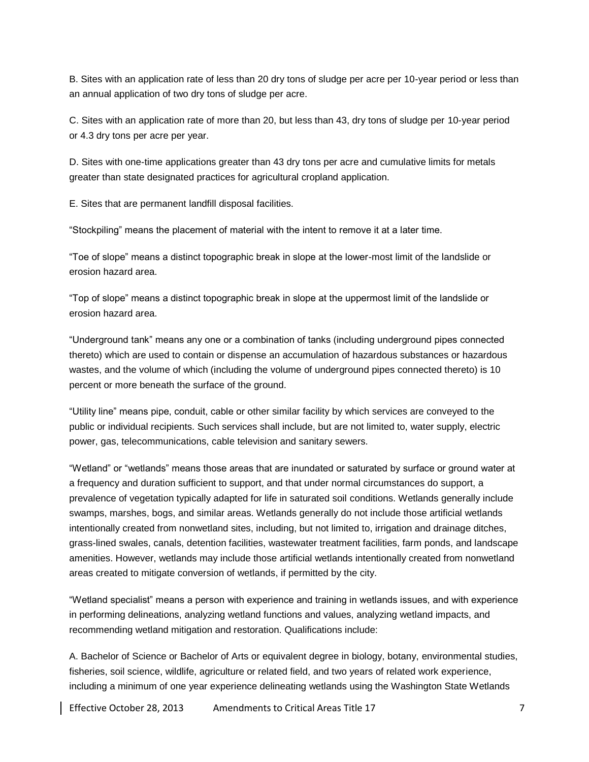B. Sites with an application rate of less than 20 dry tons of sludge per acre per 10-year period or less than an annual application of two dry tons of sludge per acre.

C. Sites with an application rate of more than 20, but less than 43, dry tons of sludge per 10-year period or 4.3 dry tons per acre per year.

D. Sites with one-time applications greater than 43 dry tons per acre and cumulative limits for metals greater than state designated practices for agricultural cropland application.

E. Sites that are permanent landfill disposal facilities.

"Stockpiling" means the placement of material with the intent to remove it at a later time.

"Toe of slope" means a distinct topographic break in slope at the lower-most limit of the landslide or erosion hazard area.

"Top of slope" means a distinct topographic break in slope at the uppermost limit of the landslide or erosion hazard area.

"Underground tank" means any one or a combination of tanks (including underground pipes connected thereto) which are used to contain or dispense an accumulation of hazardous substances or hazardous wastes, and the volume of which (including the volume of underground pipes connected thereto) is 10 percent or more beneath the surface of the ground.

"Utility line" means pipe, conduit, cable or other similar facility by which services are conveyed to the public or individual recipients. Such services shall include, but are not limited to, water supply, electric power, gas, telecommunications, cable television and sanitary sewers.

"Wetland" or "wetlands" means those areas that are inundated or saturated by surface or ground water at a frequency and duration sufficient to support, and that under normal circumstances do support, a prevalence of vegetation typically adapted for life in saturated soil conditions. Wetlands generally include swamps, marshes, bogs, and similar areas. Wetlands generally do not include those artificial wetlands intentionally created from nonwetland sites, including, but not limited to, irrigation and drainage ditches, grass-lined swales, canals, detention facilities, wastewater treatment facilities, farm ponds, and landscape amenities. However, wetlands may include those artificial wetlands intentionally created from nonwetland areas created to mitigate conversion of wetlands, if permitted by the city.

"Wetland specialist" means a person with experience and training in wetlands issues, and with experience in performing delineations, analyzing wetland functions and values, analyzing wetland impacts, and recommending wetland mitigation and restoration. Qualifications include:

A. Bachelor of Science or Bachelor of Arts or equivalent degree in biology, botany, environmental studies, fisheries, soil science, wildlife, agriculture or related field, and two years of related work experience, including a minimum of one year experience delineating wetlands using the Washington State Wetlands

Effective October 28, 2013 Amendments to Critical Areas Title 17 7 7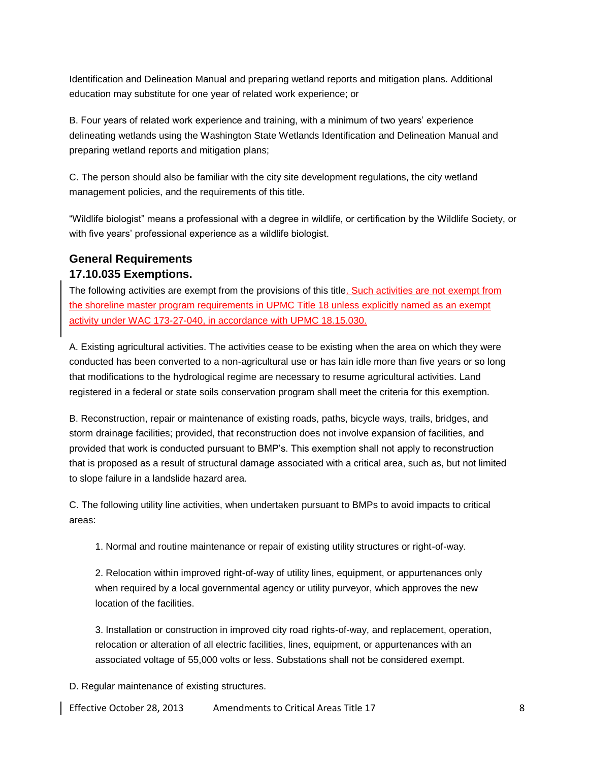Identification and Delineation Manual and preparing wetland reports and mitigation plans. Additional education may substitute for one year of related work experience; or

B. Four years of related work experience and training, with a minimum of two years' experience delineating wetlands using the Washington State Wetlands Identification and Delineation Manual and preparing wetland reports and mitigation plans;

C. The person should also be familiar with the city site development regulations, the city wetland management policies, and the requirements of this title.

"Wildlife biologist" means a professional with a degree in wildlife, or certification by the Wildlife Society, or with five years' professional experience as a wildlife biologist.

#### **General Requirements 17.10.035 Exemptions.**

The following activities are exempt from the provisions of this title. Such activities are not exempt from the shoreline master program requirements in UPMC Title 18 unless explicitly named as an exempt activity under WAC 173-27-040, in accordance with UPMC 18.15.030.

A. Existing agricultural activities. The activities cease to be existing when the area on which they were conducted has been converted to a non-agricultural use or has lain idle more than five years or so long that modifications to the hydrological regime are necessary to resume agricultural activities. Land registered in a federal or state soils conservation program shall meet the criteria for this exemption.

B. Reconstruction, repair or maintenance of existing roads, paths, bicycle ways, trails, bridges, and storm drainage facilities; provided, that reconstruction does not involve expansion of facilities, and provided that work is conducted pursuant to BMP's. This exemption shall not apply to reconstruction that is proposed as a result of structural damage associated with a critical area, such as, but not limited to slope failure in a landslide hazard area.

C. The following utility line activities, when undertaken pursuant to BMPs to avoid impacts to critical areas:

1. Normal and routine maintenance or repair of existing utility structures or right-of-way.

2. Relocation within improved right-of-way of utility lines, equipment, or appurtenances only when required by a local governmental agency or utility purveyor, which approves the new location of the facilities.

3. Installation or construction in improved city road rights-of-way, and replacement, operation, relocation or alteration of all electric facilities, lines, equipment, or appurtenances with an associated voltage of 55,000 volts or less. Substations shall not be considered exempt.

D. Regular maintenance of existing structures.

Effective October 28, 2013 Amendments to Critical Areas Title 17 8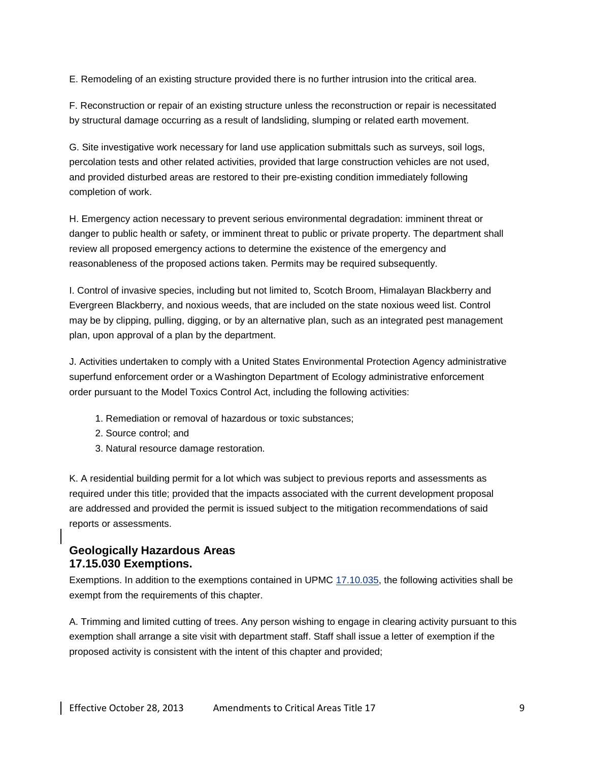E. Remodeling of an existing structure provided there is no further intrusion into the critical area.

F. Reconstruction or repair of an existing structure unless the reconstruction or repair is necessitated by structural damage occurring as a result of landsliding, slumping or related earth movement.

G. Site investigative work necessary for land use application submittals such as surveys, soil logs, percolation tests and other related activities, provided that large construction vehicles are not used, and provided disturbed areas are restored to their pre-existing condition immediately following completion of work.

H. Emergency action necessary to prevent serious environmental degradation: imminent threat or danger to public health or safety, or imminent threat to public or private property. The department shall review all proposed emergency actions to determine the existence of the emergency and reasonableness of the proposed actions taken. Permits may be required subsequently.

I. Control of invasive species, including but not limited to, Scotch Broom, Himalayan Blackberry and Evergreen Blackberry, and noxious weeds, that are included on the state noxious weed list. Control may be by clipping, pulling, digging, or by an alternative plan, such as an integrated pest management plan, upon approval of a plan by the department.

J. Activities undertaken to comply with a United States Environmental Protection Agency administrative superfund enforcement order or a Washington Department of Ecology administrative enforcement order pursuant to the Model Toxics Control Act, including the following activities:

- 1. Remediation or removal of hazardous or toxic substances;
- 2. Source control; and
- 3. Natural resource damage restoration.

K. A residential building permit for a lot which was subject to previous reports and assessments as required under this title; provided that the impacts associated with the current development proposal are addressed and provided the permit is issued subject to the mitigation recommendations of said reports or assessments.

#### **Geologically Hazardous Areas 17.15.030 Exemptions.**

Exemptions. In addition to the exemptions contained in UPMC [17.10.035,](http://www.mrsc.org/mc/universityplace/UniversityPlace17/UniversityPlace1710.html#17.10.035) the following activities shall be exempt from the requirements of this chapter.

A. Trimming and limited cutting of trees. Any person wishing to engage in clearing activity pursuant to this exemption shall arrange a site visit with department staff. Staff shall issue a letter of exemption if the proposed activity is consistent with the intent of this chapter and provided;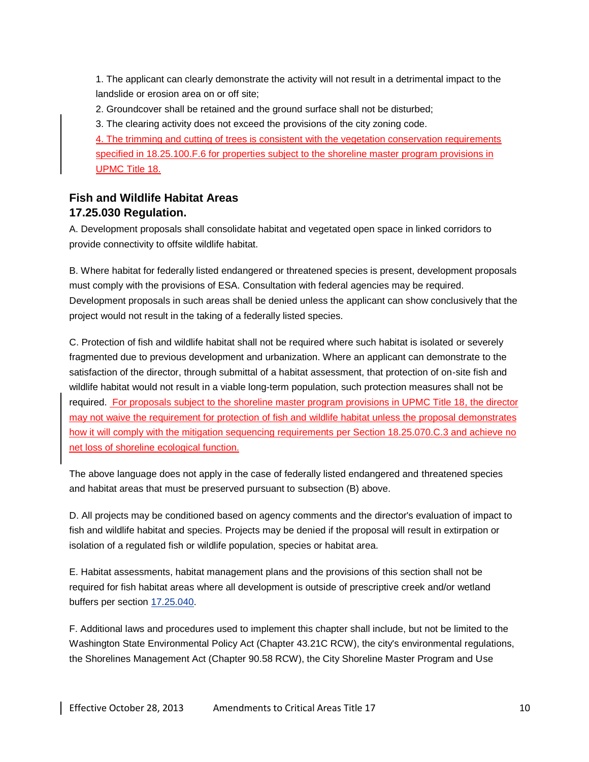1. The applicant can clearly demonstrate the activity will not result in a detrimental impact to the landslide or erosion area on or off site;

2. Groundcover shall be retained and the ground surface shall not be disturbed;

3. The clearing activity does not exceed the provisions of the city zoning code.

4. The trimming and cutting of trees is consistent with the vegetation conservation requirements specified in 18.25.100.F.6 for properties subject to the shoreline master program provisions in UPMC Title 18.

## **Fish and Wildlife Habitat Areas 17.25.030 Regulation.**

A. Development proposals shall consolidate habitat and vegetated open space in linked corridors to provide connectivity to offsite wildlife habitat.

B. Where habitat for federally listed endangered or threatened species is present, development proposals must comply with the provisions of ESA. Consultation with federal agencies may be required. Development proposals in such areas shall be denied unless the applicant can show conclusively that the project would not result in the taking of a federally listed species.

C. Protection of fish and wildlife habitat shall not be required where such habitat is isolated or severely fragmented due to previous development and urbanization. Where an applicant can demonstrate to the satisfaction of the director, through submittal of a habitat assessment, that protection of on-site fish and wildlife habitat would not result in a viable long-term population, such protection measures shall not be required. For proposals subject to the shoreline master program provisions in UPMC Title 18, the director may not waive the requirement for protection of fish and wildlife habitat unless the proposal demonstrates how it will comply with the mitigation sequencing requirements per Section 18.25.070.C.3 and achieve no net loss of shoreline ecological function.

The above language does not apply in the case of federally listed endangered and threatened species and habitat areas that must be preserved pursuant to subsection (B) above.

D. All projects may be conditioned based on agency comments and the director's evaluation of impact to fish and wildlife habitat and species. Projects may be denied if the proposal will result in extirpation or isolation of a regulated fish or wildlife population, species or habitat area.

E. Habitat assessments, habitat management plans and the provisions of this section shall not be required for fish habitat areas where all development is outside of prescriptive creek and/or wetland buffers per section [17.25.040.](http://www.mrsc.org/mc/universityplace/UniversityPlace17/UniversityPlace1725.html#17.25.040)

F. Additional laws and procedures used to implement this chapter shall include, but not be limited to the Washington State Environmental Policy Act (Chapter 43.21C RCW), the city's environmental regulations, the Shorelines Management Act (Chapter 90.58 RCW), the City Shoreline Master Program and Use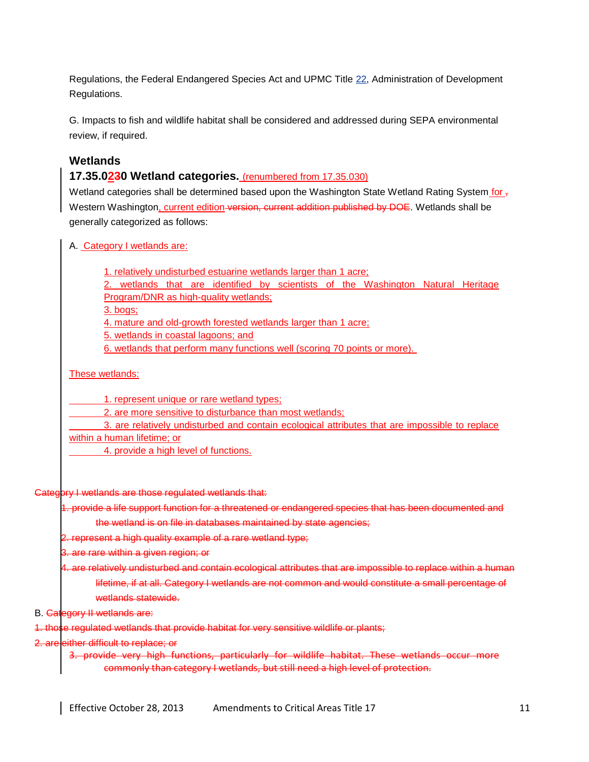Regulations, the Federal Endangered Species Act and UPMC Title [22,](http://www.mrsc.org/mc/universityplace/UniversityPlace22/UniversityPlace22.html#22) Administration of Development Regulations.

G. Impacts to fish and wildlife habitat shall be considered and addressed during SEPA environmental review, if required.

#### **Wetlands**

#### **17.35.0230 Wetland categories.** (renumbered from 17.35.030)

Wetland categories shall be determined based upon the Washington State Wetland Rating System for  $\frac{1}{2}$ Western Washington, current edition version, current addition published by DOE. Wetlands shall be generally categorized as follows:

A. Category I wetlands are:

1. relatively undisturbed estuarine wetlands larger than 1 acre;

2. wetlands that are identified by scientists of the Washington Natural Heritage Program/DNR as high-quality wetlands;

3. bogs;

4. mature and old-growth forested wetlands larger than 1 acre;

5. wetlands in coastal lagoons; and

6. wetlands that perform many functions well (scoring 70 points or more).

These wetlands:

1. represent unique or rare wetland types;

2. are more sensitive to disturbance than most wetlands;

3. are relatively undisturbed and contain ecological attributes that are impossible to replace within a human lifetime; or

4. provide a high level of functions.

#### Category I wetlands are those regulated wetlands that:

1. provide a life support function for a threatened or endangered species that has been documented and

the wetland is on file in databases maintained by state agencies;

2. represent a high quality example of a rare wetland type;

3. are rare within a given region; or

4. are relatively undisturbed and contain ecological attributes that are impossible to replace within a human lifetime, if at all. Category I wetlands are not common and would constitute a small percentage of wetlands statewide

B. Category II wetlands are:

1. those regulated wetlands that provide habitat for very sensitive wildlife or plants;

2. are either difficult to replace; or

3. provide very high functions, particularly for wildlife habitat. These wetlands occur more commonly than category I wetlands, but still need a high level of protection.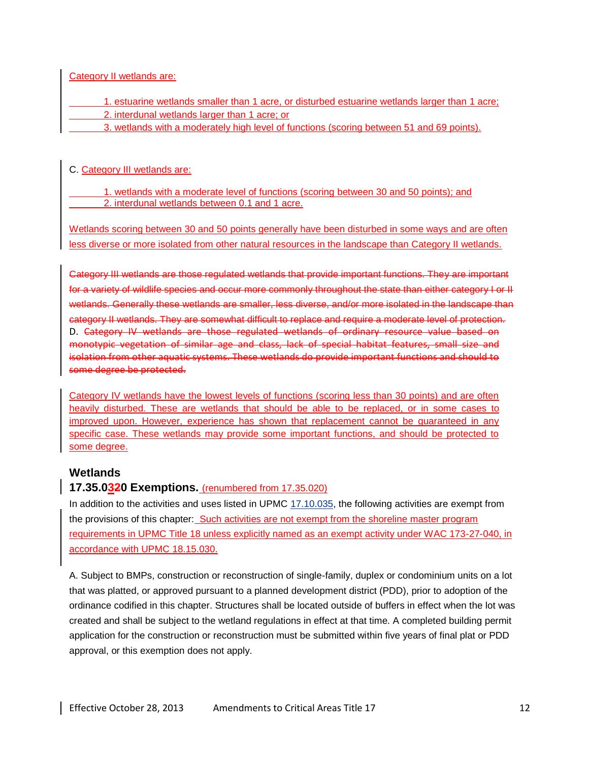Category II wetlands are:

- 1. estuarine wetlands smaller than 1 acre, or disturbed estuarine wetlands larger than 1 acre;
	- 2. interdunal wetlands larger than 1 acre; or
- 3. wetlands with a moderately high level of functions (scoring between 51 and 69 points).

C. Category III wetlands are:

1. wetlands with a moderate level of functions (scoring between 30 and 50 points); and 2. interdunal wetlands between 0.1 and 1 acre.

Wetlands scoring between 30 and 50 points generally have been disturbed in some ways and are often less diverse or more isolated from other natural resources in the landscape than Category II wetlands.

Category III wetlands are those regulated wetlands that provide important functions. They are important for a variety of wildlife species and occur more commonly throughout the state than either category I or II wetlands. Generally these wetlands are smaller, less diverse, and/or more isolated in the landscape than category II wetlands. They are somewhat difficult to replace and require a moderate level of protection. D. Category IV wetlands are those regulated wetlands of ordinary resource value based on monotypic vegetation of similar age and class, lack of special habitat features, small size and isolation from other aquatic systems. These wetlands do provide important functions and should to some degree be protected.

Category IV wetlands have the lowest levels of functions (scoring less than 30 points) and are often heavily disturbed. These are wetlands that should be able to be replaced, or in some cases to improved upon. However, experience has shown that replacement cannot be guaranteed in any specific case. These wetlands may provide some important functions, and should be protected to some degree.

#### **Wetlands**

#### **17.35.0320 Exemptions.** (renumbered from 17.35.020)

In addition to the activities and uses listed in UPMC [17.10.035,](http://www.mrsc.org/mc/universityplace/UniversityPlace17/UniversityPlace1710.html#17.10.035) the following activities are exempt from the provisions of this chapter: Such activities are not exempt from the shoreline master program requirements in UPMC Title 18 unless explicitly named as an exempt activity under WAC 173-27-040, in accordance with UPMC 18.15.030.

A. Subject to BMPs, construction or reconstruction of single-family, duplex or condominium units on a lot that was platted, or approved pursuant to a planned development district (PDD), prior to adoption of the ordinance codified in this chapter. Structures shall be located outside of buffers in effect when the lot was created and shall be subject to the wetland regulations in effect at that time. A completed building permit application for the construction or reconstruction must be submitted within five years of final plat or PDD approval, or this exemption does not apply.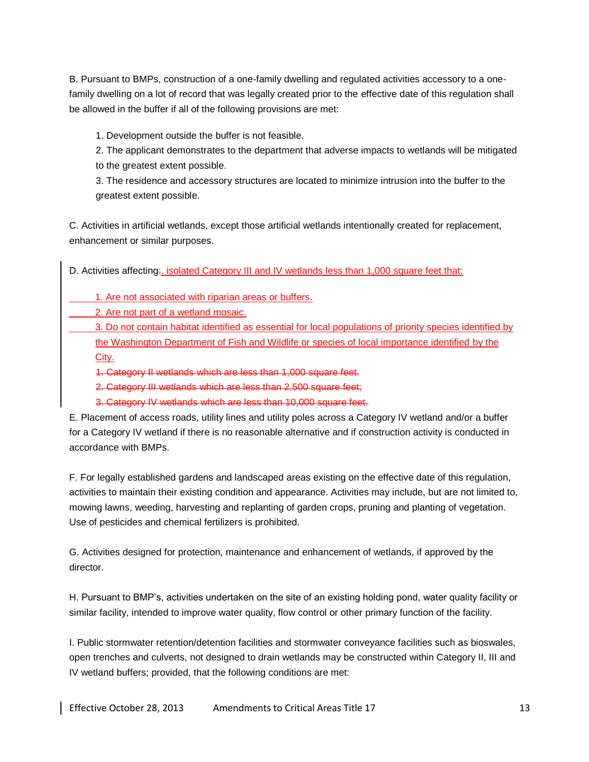B. Pursuant to BMPs, construction of a one-family dwelling and regulated activities accessory to a onefamily dwelling on a lot of record that was legally created prior to the effective date of this regulation shall be allowed in the buffer if all of the following provisions are met:

1. Development outside the buffer is not feasible.

2. The applicant demonstrates to the department that adverse impacts to wetlands will be mitigated to the greatest extent possible.

3. The residence and accessory structures are located to minimize intrusion into the buffer to the greatest extent possible.

C. Activities in artificial wetlands, except those artificial wetlands intentionally created for replacement, enhancement or similar purposes.

D. Activities affecting: isolated Category III and IV wetlands less than 1,000 square feet that:

1. Are not associated with riparian areas or buffers.

2. Are not part of a wetland mosaic.

3. Do not contain habitat identified as essential for local populations of priority species identified by the Washington Department of Fish and Wildlife or species of local importance identified by the City.

1. Category II wetlands which are less than 1,000 square feet.

2. Category III wetlands which are less than 2,500 square feet;

3. Category IV wetlands which are less than 10,000 square feet.

E. Placement of access roads, utility lines and utility poles across a Category IV wetland and/or a buffer for a Category IV wetland if there is no reasonable alternative and if construction activity is conducted in accordance with BMPs.

F. For legally established gardens and landscaped areas existing on the effective date of this regulation, activities to maintain their existing condition and appearance. Activities may include, but are not limited to, mowing lawns, weeding, harvesting and replanting of garden crops, pruning and planting of vegetation. Use of pesticides and chemical fertilizers is prohibited.

G. Activities designed for protection, maintenance and enhancement of wetlands, if approved by the director.

H. Pursuant to BMP's, activities undertaken on the site of an existing holding pond, water quality facility or similar facility, intended to improve water quality, flow control or other primary function of the facility.

I. Public stormwater retention/detention facilities and stormwater conveyance facilities such as bioswales, open trenches and culverts, not designed to drain wetlands may be constructed within Category II, III and IV wetland buffers; provided, that the following conditions are met: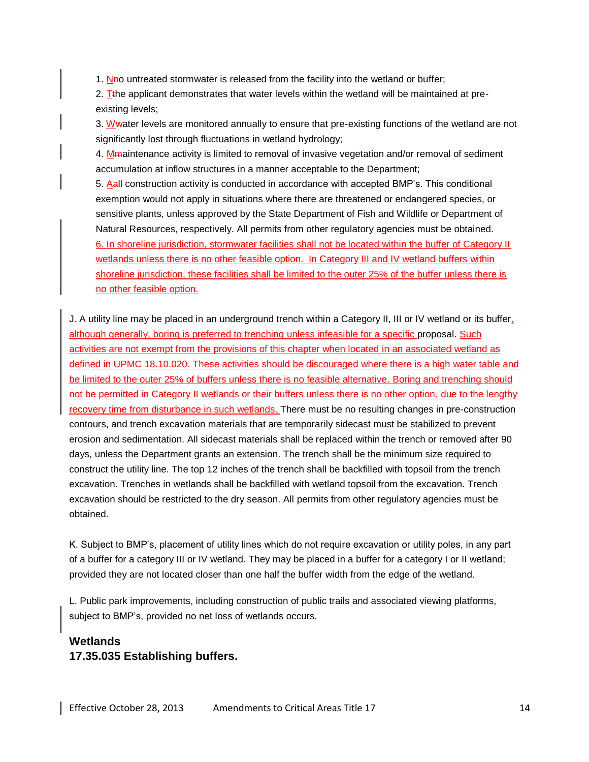1. No untreated stormwater is released from the facility into the wetland or buffer;

2. T<sub>the applicant demonstrates that water levels within the wetland will be maintained at pre-</sub> existing levels;

3. Wwater levels are monitored annually to ensure that pre-existing functions of the wetland are not significantly lost through fluctuations in wetland hydrology;

4. Mmaintenance activity is limited to removal of invasive vegetation and/or removal of sediment accumulation at inflow structures in a manner acceptable to the Department;

5. Aall construction activity is conducted in accordance with accepted BMP's. This conditional exemption would not apply in situations where there are threatened or endangered species, or sensitive plants, unless approved by the State Department of Fish and Wildlife or Department of Natural Resources, respectively. All permits from other regulatory agencies must be obtained. 6. In shoreline jurisdiction, stormwater facilities shall not be located within the buffer of Category II wetlands unless there is no other feasible option. In Category III and IV wetland buffers within shoreline jurisdiction, these facilities shall be limited to the outer 25% of the buffer unless there is no other feasible option.

J. A utility line may be placed in an underground trench within a Category II, III or IV wetland or its buffer, although generally, boring is preferred to trenching unless infeasible for a specific proposal. Such activities are not exempt from the provisions of this chapter when located in an associated wetland as defined in UPMC 18.10.020. These activities should be discouraged where there is a high water table and be limited to the outer 25% of buffers unless there is no feasible alternative. Boring and trenching should not be permitted in Category II wetlands or their buffers unless there is no other option, due to the lengthy recovery time from disturbance in such wetlands. There must be no resulting changes in pre-construction contours, and trench excavation materials that are temporarily sidecast must be stabilized to prevent erosion and sedimentation. All sidecast materials shall be replaced within the trench or removed after 90 days, unless the Department grants an extension. The trench shall be the minimum size required to construct the utility line. The top 12 inches of the trench shall be backfilled with topsoil from the trench excavation. Trenches in wetlands shall be backfilled with wetland topsoil from the excavation. Trench excavation should be restricted to the dry season. All permits from other regulatory agencies must be obtained.

K. Subject to BMP's, placement of utility lines which do not require excavation or utility poles, in any part of a buffer for a category III or IV wetland. They may be placed in a buffer for a category I or II wetland; provided they are not located closer than one half the buffer width from the edge of the wetland.

L. Public park improvements, including construction of public trails and associated viewing platforms, subject to BMP's, provided no net loss of wetlands occurs.

#### **Wetlands 17.35.035 Establishing buffers.**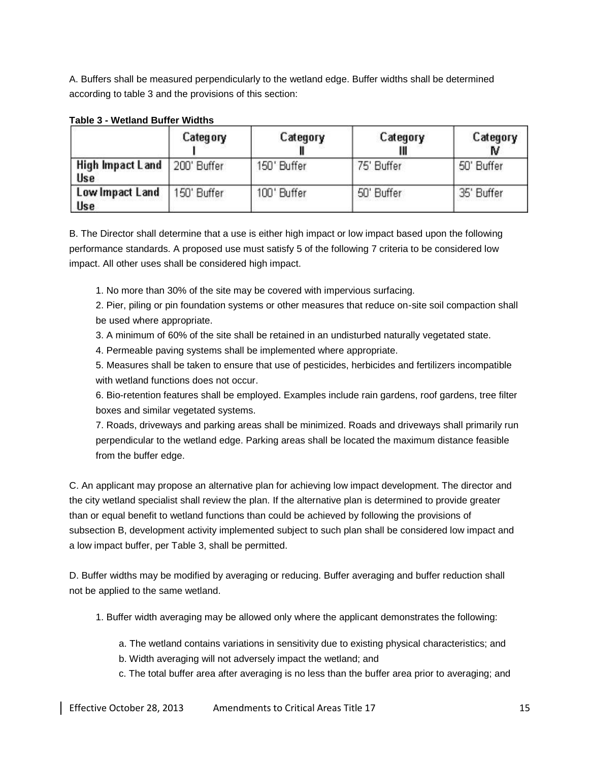A. Buffers shall be measured perpendicularly to the wetland edge. Buffer widths shall be determined according to table 3 and the provisions of this section:

|                                              | Category   | Category    | Category   | Category   |
|----------------------------------------------|------------|-------------|------------|------------|
| High Impact Land   200' Buffer<br><b>Use</b> |            | 150' Buffer | 75' Buffer | 50' Buffer |
| Low Impact Land<br><b>Use</b>                | 50' Buffer | 100' Buffer | 50' Buffer | 35' Buffer |

#### **Table 3 - Wetland Buffer Widths**

B. The Director shall determine that a use is either high impact or low impact based upon the following performance standards. A proposed use must satisfy 5 of the following 7 criteria to be considered low impact. All other uses shall be considered high impact.

1. No more than 30% of the site may be covered with impervious surfacing.

2. Pier, piling or pin foundation systems or other measures that reduce on-site soil compaction shall be used where appropriate.

3. A minimum of 60% of the site shall be retained in an undisturbed naturally vegetated state.

4. Permeable paving systems shall be implemented where appropriate.

5. Measures shall be taken to ensure that use of pesticides, herbicides and fertilizers incompatible with wetland functions does not occur.

6. Bio-retention features shall be employed. Examples include rain gardens, roof gardens, tree filter boxes and similar vegetated systems.

7. Roads, driveways and parking areas shall be minimized. Roads and driveways shall primarily run perpendicular to the wetland edge. Parking areas shall be located the maximum distance feasible from the buffer edge.

C. An applicant may propose an alternative plan for achieving low impact development. The director and the city wetland specialist shall review the plan. If the alternative plan is determined to provide greater than or equal benefit to wetland functions than could be achieved by following the provisions of subsection B, development activity implemented subject to such plan shall be considered low impact and a low impact buffer, per Table 3, shall be permitted.

D. Buffer widths may be modified by averaging or reducing. Buffer averaging and buffer reduction shall not be applied to the same wetland.

1. Buffer width averaging may be allowed only where the applicant demonstrates the following:

- a. The wetland contains variations in sensitivity due to existing physical characteristics; and
- b. Width averaging will not adversely impact the wetland; and
- c. The total buffer area after averaging is no less than the buffer area prior to averaging; and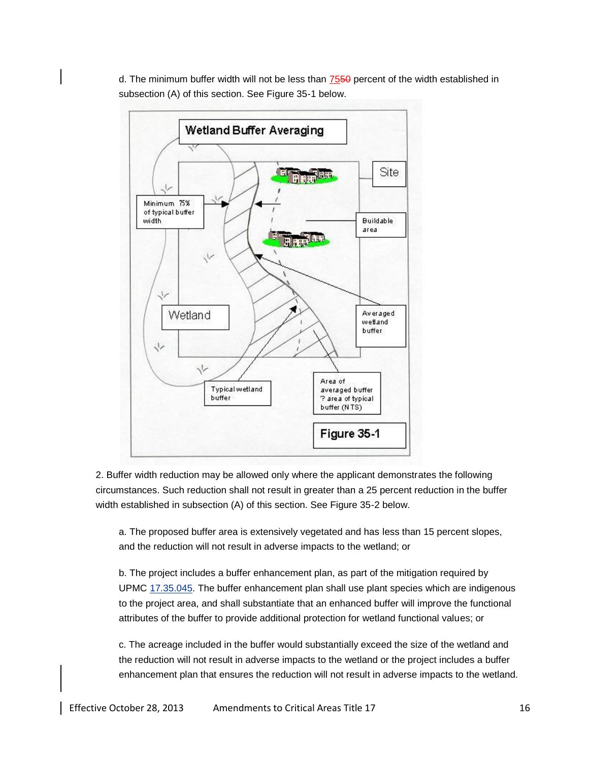d. The minimum buffer width will not be less than 7550 percent of the width established in subsection (A) of this section. See Figure 35-1 below.



2. Buffer width reduction may be allowed only where the applicant demonstrates the following circumstances. Such reduction shall not result in greater than a 25 percent reduction in the buffer width established in subsection (A) of this section. See Figure 35-2 below.

a. The proposed buffer area is extensively vegetated and has less than 15 percent slopes, and the reduction will not result in adverse impacts to the wetland; or

b. The project includes a buffer enhancement plan, as part of the mitigation required by UPMC [17.35.045.](http://www.mrsc.org/mc/universityplace/UniversityPlace17/UniversityPlace1735.html#17.35.045) The buffer enhancement plan shall use plant species which are indigenous to the project area, and shall substantiate that an enhanced buffer will improve the functional attributes of the buffer to provide additional protection for wetland functional values; or

c. The acreage included in the buffer would substantially exceed the size of the wetland and the reduction will not result in adverse impacts to the wetland or the project includes a buffer enhancement plan that ensures the reduction will not result in adverse impacts to the wetland.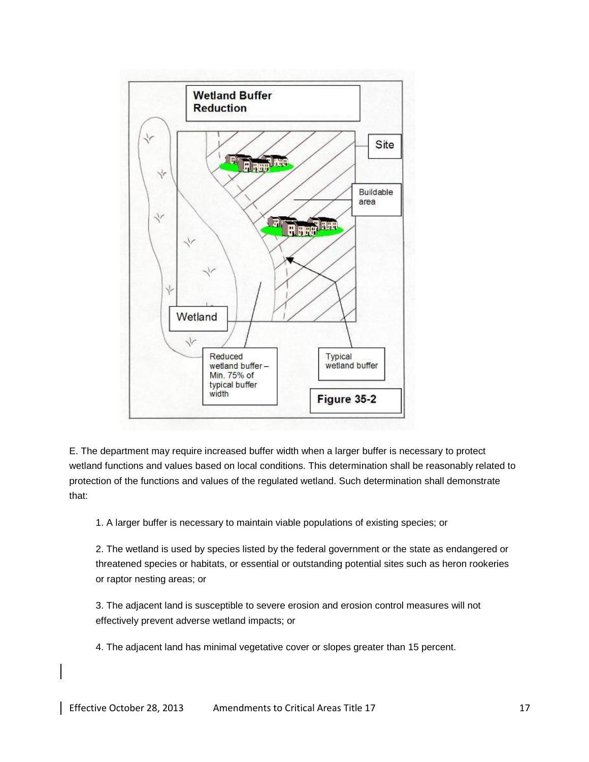

E. The department may require increased buffer width when a larger buffer is necessary to protect wetland functions and values based on local conditions. This determination shall be reasonably related to protection of the functions and values of the regulated wetland. Such determination shall demonstrate that:

1. A larger buffer is necessary to maintain viable populations of existing species; or

2. The wetland is used by species listed by the federal government or the state as endangered or threatened species or habitats, or essential or outstanding potential sites such as heron rookeries or raptor nesting areas; or

3. The adjacent land is susceptible to severe erosion and erosion control measures will not effectively prevent adverse wetland impacts; or

4. The adjacent land has minimal vegetative cover or slopes greater than 15 percent.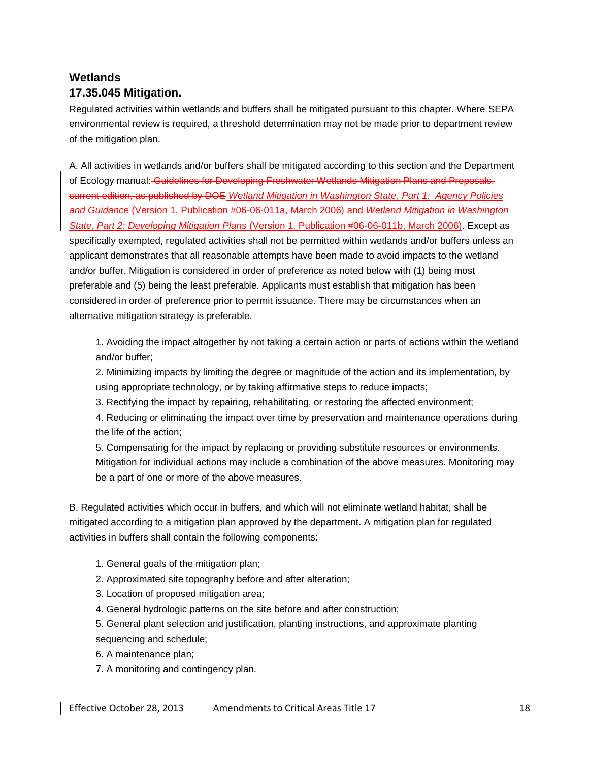## **Wetlands 17.35.045 Mitigation.**

Regulated activities within wetlands and buffers shall be mitigated pursuant to this chapter. Where SEPA environmental review is required, a threshold determination may not be made prior to department review of the mitigation plan.

A. All activities in wetlands and/or buffers shall be mitigated according to this section and the Department of Ecology manual: Guidelines for Developing Freshwater Wetlands Mitigation Plans and Proposals, current edition, as published by DOE *Wetland Mitigation in Washington State*, *Part 1: Agency Policies and Guidance* (Version 1, Publication #06-06-011a, March 2006) and *Wetland Mitigation in Washington State*, *Part 2: Developing Mitigation Plans* (Version 1, Publication #06-06-011b, March 2006). Except as specifically exempted, regulated activities shall not be permitted within wetlands and/or buffers unless an applicant demonstrates that all reasonable attempts have been made to avoid impacts to the wetland and/or buffer. Mitigation is considered in order of preference as noted below with (1) being most preferable and (5) being the least preferable. Applicants must establish that mitigation has been considered in order of preference prior to permit issuance. There may be circumstances when an alternative mitigation strategy is preferable.

1. Avoiding the impact altogether by not taking a certain action or parts of actions within the wetland and/or buffer;

2. Minimizing impacts by limiting the degree or magnitude of the action and its implementation, by using appropriate technology, or by taking affirmative steps to reduce impacts;

3. Rectifying the impact by repairing, rehabilitating, or restoring the affected environment;

4. Reducing or eliminating the impact over time by preservation and maintenance operations during the life of the action;

5. Compensating for the impact by replacing or providing substitute resources or environments. Mitigation for individual actions may include a combination of the above measures. Monitoring may be a part of one or more of the above measures.

B. Regulated activities which occur in buffers, and which will not eliminate wetland habitat, shall be mitigated according to a mitigation plan approved by the department. A mitigation plan for regulated activities in buffers shall contain the following components:

- 1. General goals of the mitigation plan;
- 2. Approximated site topography before and after alteration;
- 3. Location of proposed mitigation area;
- 4. General hydrologic patterns on the site before and after construction;

5. General plant selection and justification, planting instructions, and approximate planting sequencing and schedule;

- 6. A maintenance plan;
- 7. A monitoring and contingency plan.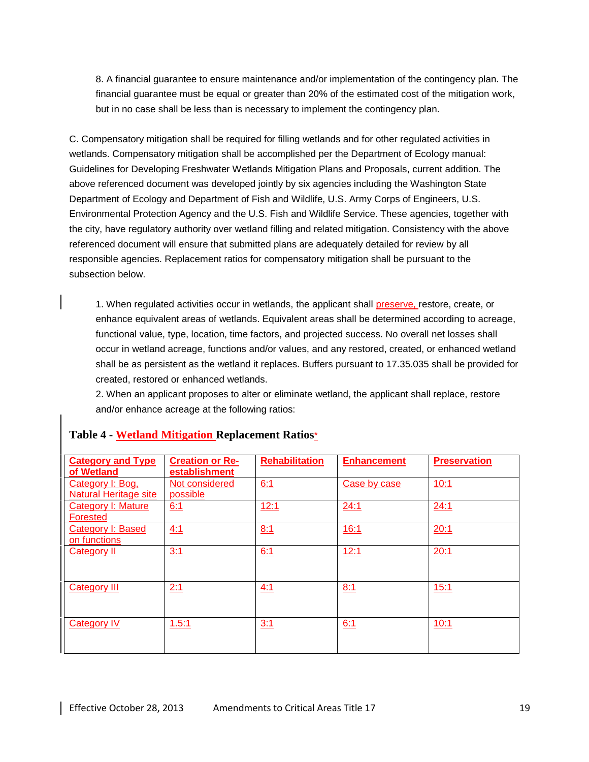8. A financial guarantee to ensure maintenance and/or implementation of the contingency plan. The financial guarantee must be equal or greater than 20% of the estimated cost of the mitigation work, but in no case shall be less than is necessary to implement the contingency plan.

C. Compensatory mitigation shall be required for filling wetlands and for other regulated activities in wetlands. Compensatory mitigation shall be accomplished per the Department of Ecology manual: Guidelines for Developing Freshwater Wetlands Mitigation Plans and Proposals, current addition. The above referenced document was developed jointly by six agencies including the Washington State Department of Ecology and Department of Fish and Wildlife, U.S. Army Corps of Engineers, U.S. Environmental Protection Agency and the U.S. Fish and Wildlife Service. These agencies, together with the city, have regulatory authority over wetland filling and related mitigation. Consistency with the above referenced document will ensure that submitted plans are adequately detailed for review by all responsible agencies. Replacement ratios for compensatory mitigation shall be pursuant to the subsection below.

1. When regulated activities occur in wetlands, the applicant shall preserve, restore, create, or enhance equivalent areas of wetlands. Equivalent areas shall be determined according to acreage, functional value, type, location, time factors, and projected success. No overall net losses shall occur in wetland acreage, functions and/or values, and any restored, created, or enhanced wetland shall be as persistent as the wetland it replaces. Buffers pursuant to 17.35.035 shall be provided for created, restored or enhanced wetlands.

2. When an applicant proposes to alter or eliminate wetland, the applicant shall replace, restore and/or enhance acreage at the following ratios:

| <b>Category and Type</b><br>of Wetland    | <b>Creation or Re-</b><br>establishment | <b>Rehabilitation</b> | <b>Enhancement</b> | <b>Preservation</b> |
|-------------------------------------------|-----------------------------------------|-----------------------|--------------------|---------------------|
| Category I: Bog,<br>Natural Heritage site | Not considered<br>possible              | 6:1                   | Case by case       | 10:1                |
| Category I: Mature<br>Forested            | 6:1                                     | 12:1                  | 24:1               | 24:1                |
| <b>Category I: Based</b><br>on functions  | 4:1                                     | 8:1                   | 16:1               | 20:1                |
| <b>Category II</b>                        | 3:1                                     | 6:1                   | 12:1               | 20:1                |
| Category III                              | 2:1                                     | 4:1                   | 8:1                | 15:1                |
| <b>Category IV</b>                        | 1.5:1                                   | 3:1                   | 6:1                | 10:1                |

#### **Table 4 - Wetland Mitigation Replacement Ratios**\*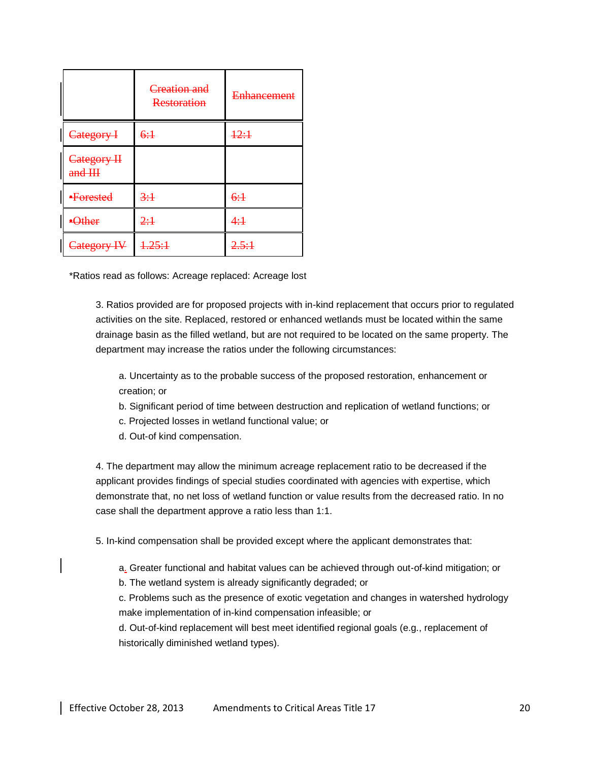|                      | Creation and<br>Restoration | <b>Enhancement</b> |
|----------------------|-----------------------------|--------------------|
| Category I           | 6:1                         | 12:1               |
| Category H<br>and HH |                             |                    |
| ·Forested            | 3:1                         | 6:1                |
| Other                | 2:1                         | 4:1                |
| Category IV          | 1.25:1                      | 2.5:1              |

\*Ratios read as follows: Acreage replaced: Acreage lost

3. Ratios provided are for proposed projects with in-kind replacement that occurs prior to regulated activities on the site. Replaced, restored or enhanced wetlands must be located within the same drainage basin as the filled wetland, but are not required to be located on the same property. The department may increase the ratios under the following circumstances:

a. Uncertainty as to the probable success of the proposed restoration, enhancement or creation; or

b. Significant period of time between destruction and replication of wetland functions; or

- c. Projected losses in wetland functional value; or
- d. Out-of kind compensation.

4. The department may allow the minimum acreage replacement ratio to be decreased if the applicant provides findings of special studies coordinated with agencies with expertise, which demonstrate that, no net loss of wetland function or value results from the decreased ratio. In no case shall the department approve a ratio less than 1:1.

5. In-kind compensation shall be provided except where the applicant demonstrates that:

a. Greater functional and habitat values can be achieved through out-of-kind mitigation; or

b. The wetland system is already significantly degraded; or

c. Problems such as the presence of exotic vegetation and changes in watershed hydrology make implementation of in-kind compensation infeasible; or

d. Out-of-kind replacement will best meet identified regional goals (e.g., replacement of historically diminished wetland types).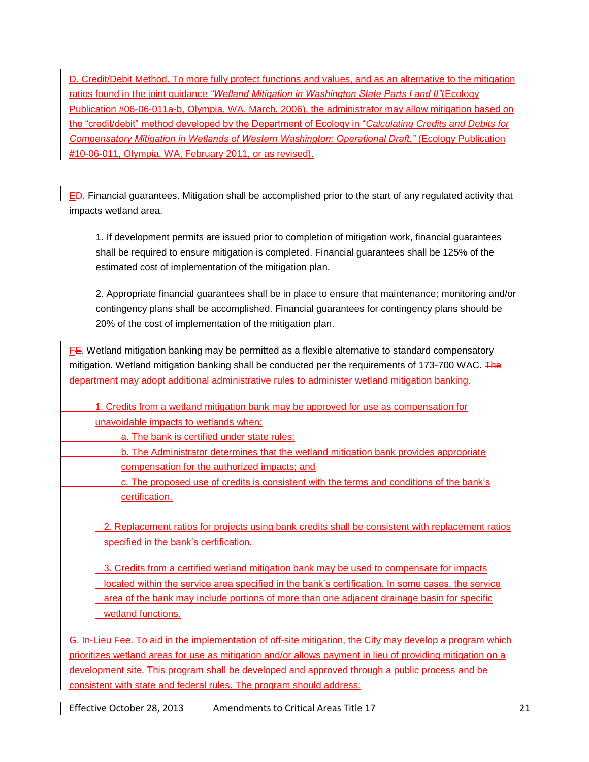D. Credit/Debit Method. To more fully protect functions and values, and as an alternative to the mitigation ratios found in the joint guidance *"Wetland Mitigation in Washington State Parts I and II"*(Ecology Publication #06-06-011a-b, Olympia, WA, March, 2006), the administrator may allow mitigation based on the "credit/debit" method developed by the Department of Ecology in "*Calculating Credits and Debits for Compensatory Mitigation in Wetlands of Western Washington: Operational Draft,"* (Ecology Publication #10-06-011, Olympia, WA, February 2011, or as revised).

ED. Financial guarantees. Mitigation shall be accomplished prior to the start of any regulated activity that impacts wetland area.

1. If development permits are issued prior to completion of mitigation work, financial guarantees shall be required to ensure mitigation is completed. Financial guarantees shall be 125% of the estimated cost of implementation of the mitigation plan.

2. Appropriate financial guarantees shall be in place to ensure that maintenance; monitoring and/or contingency plans shall be accomplished. Financial guarantees for contingency plans should be 20% of the cost of implementation of the mitigation plan.

FE. Wetland mitigation banking may be permitted as a flexible alternative to standard compensatory mitigation. Wetland mitigation banking shall be conducted per the requirements of 173-700 WAC. The department may adopt additional administrative rules to administer wetland mitigation banking.

1. Credits from a wetland mitigation bank may be approved for use as compensation for unavoidable impacts to wetlands when:

a. The bank is certified under state rules;

b. The Administrator determines that the wetland mitigation bank provides appropriate compensation for the authorized impacts; and

c. The proposed use of credits is consistent with the terms and conditions of the bank's certification.

2. Replacement ratios for projects using bank credits shall be consistent with replacement ratios specified in the bank's certification.

3. Credits from a certified wetland mitigation bank may be used to compensate for impacts located within the service area specified in the bank's certification. In some cases, the service area of the bank may include portions of more than one adjacent drainage basin for specific wetland functions.

G. In-Lieu Fee. To aid in the implementation of off-site mitigation, the City may develop a program which prioritizes wetland areas for use as mitigation and/or allows payment in lieu of providing mitigation on a development site. This program shall be developed and approved through a public process and be consistent with state and federal rules. The program should address: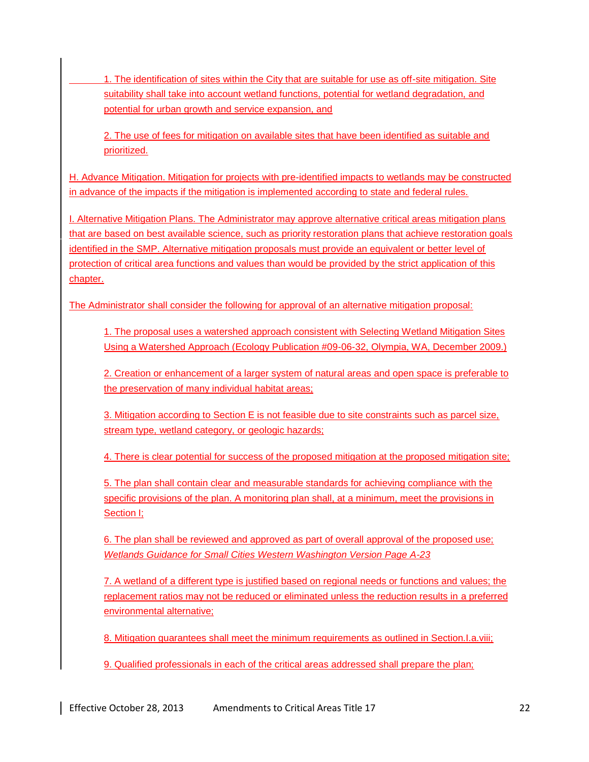1. The identification of sites within the City that are suitable for use as off-site mitigation. Site suitability shall take into account wetland functions, potential for wetland degradation, and potential for urban growth and service expansion, and

2. The use of fees for mitigation on available sites that have been identified as suitable and prioritized.

H. Advance Mitigation. Mitigation for projects with pre-identified impacts to wetlands may be constructed in advance of the impacts if the mitigation is implemented according to state and federal rules.

I. Alternative Mitigation Plans. The Administrator may approve alternative critical areas mitigation plans that are based on best available science, such as priority restoration plans that achieve restoration goals identified in the SMP. Alternative mitigation proposals must provide an equivalent or better level of protection of critical area functions and values than would be provided by the strict application of this chapter.

The Administrator shall consider the following for approval of an alternative mitigation proposal:

1. The proposal uses a watershed approach consistent with Selecting Wetland Mitigation Sites Using a Watershed Approach (Ecology Publication #09-06-32, Olympia, WA, December 2009.)

2. Creation or enhancement of a larger system of natural areas and open space is preferable to the preservation of many individual habitat areas;

3. Mitigation according to Section E is not feasible due to site constraints such as parcel size, stream type, wetland category, or geologic hazards;

4. There is clear potential for success of the proposed mitigation at the proposed mitigation site;

5. The plan shall contain clear and measurable standards for achieving compliance with the specific provisions of the plan. A monitoring plan shall, at a minimum, meet the provisions in Section I;

6. The plan shall be reviewed and approved as part of overall approval of the proposed use; *Wetlands Guidance for Small Cities Western Washington Version Page A-23* 

7. A wetland of a different type is justified based on regional needs or functions and values; the replacement ratios may not be reduced or eliminated unless the reduction results in a preferred environmental alternative;

8. Mitigation guarantees shall meet the minimum requirements as outlined in Section.I.a.viii;

9. Qualified professionals in each of the critical areas addressed shall prepare the plan;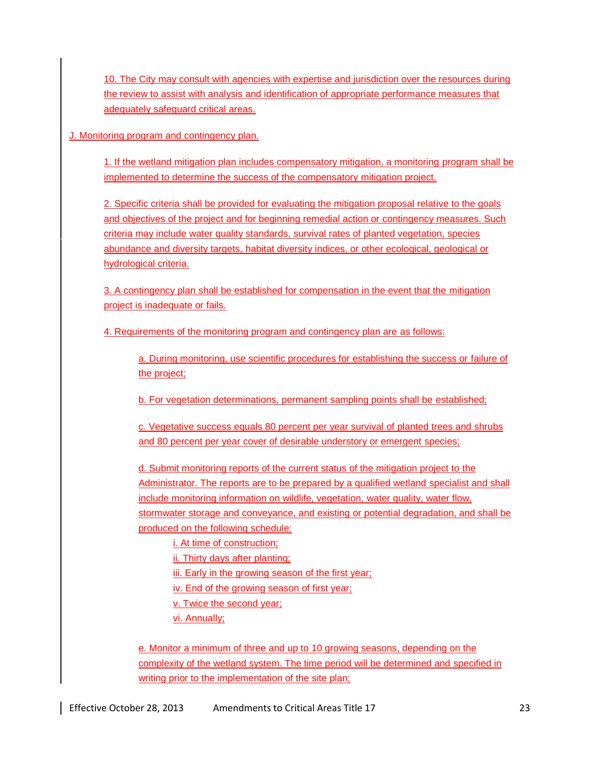10. The City may consult with agencies with expertise and jurisdiction over the resources during the review to assist with analysis and identification of appropriate performance measures that adequately safeguard critical areas.

J. Monitoring program and contingency plan.

1. If the wetland mitigation plan includes compensatory mitigation, a monitoring program shall be implemented to determine the success of the compensatory mitigation project.

2. Specific criteria shall be provided for evaluating the mitigation proposal relative to the goals and objectives of the project and for beginning remedial action or contingency measures. Such criteria may include water quality standards, survival rates of planted vegetation, species abundance and diversity targets, habitat diversity indices, or other ecological, geological or hydrological criteria.

3. A contingency plan shall be established for compensation in the event that the mitigation project is inadequate or fails.

4. Requirements of the monitoring program and contingency plan are as follows:

a. During monitoring, use scientific procedures for establishing the success or failure of the project;

b. For vegetation determinations, permanent sampling points shall be established;

c. Vegetative success equals 80 percent per year survival of planted trees and shrubs and 80 percent per year cover of desirable understory or emergent species;

d. Submit monitoring reports of the current status of the mitigation project to the Administrator. The reports are to be prepared by a qualified wetland specialist and shall include monitoring information on wildlife, vegetation, water quality, water flow, stormwater storage and conveyance, and existing or potential degradation, and shall be produced on the following schedule:

i. At time of construction;

ii. Thirty days after planting;

iii. Early in the growing season of the first year;

iv. End of the growing season of first year;

v. Twice the second year;

vi. Annually;

e. Monitor a minimum of three and up to 10 growing seasons, depending on the complexity of the wetland system. The time period will be determined and specified in writing prior to the implementation of the site plan;